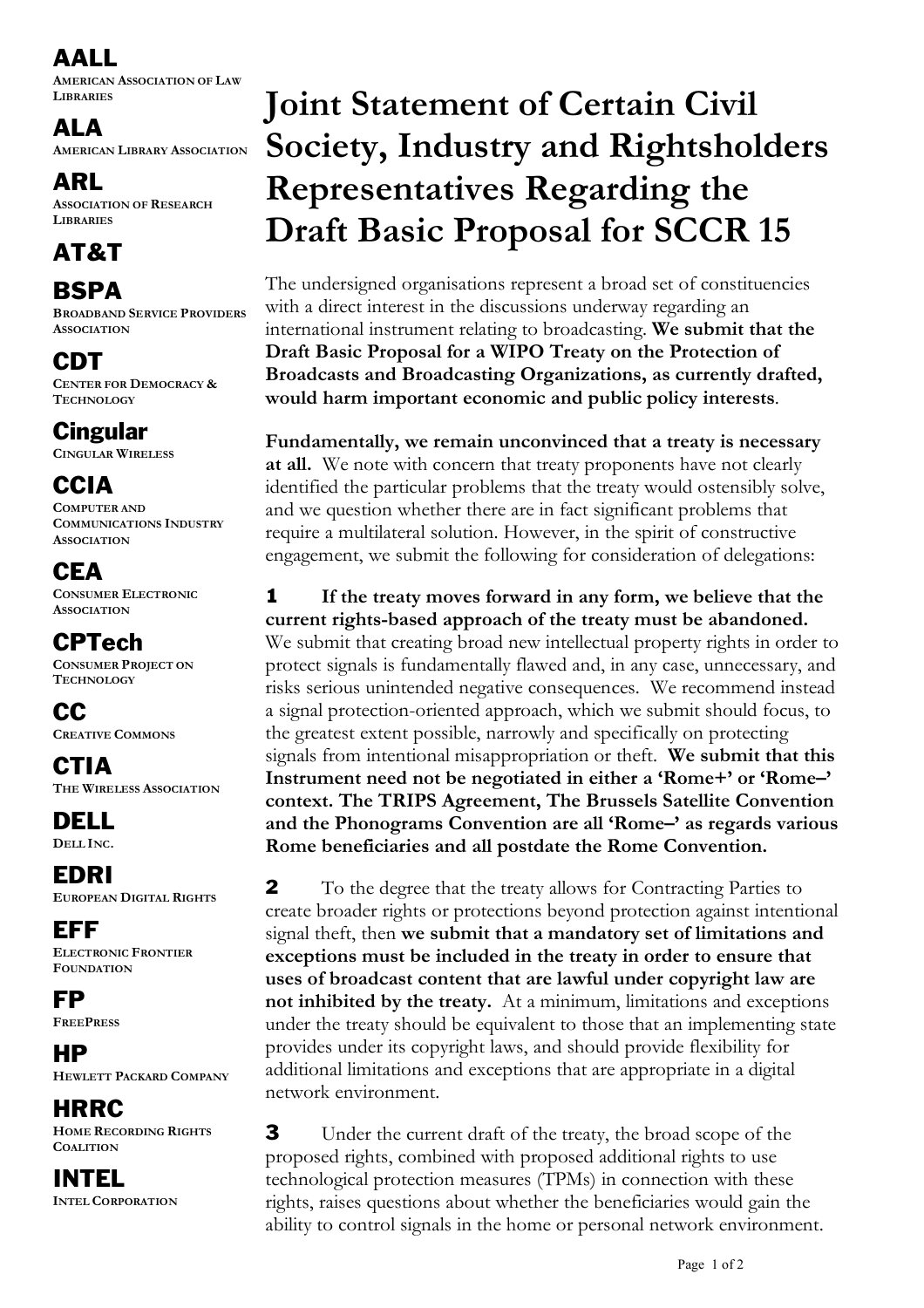AALL

**AMERICAN ASSOCIATION OF LAW LIBRARIES**

ALA

**AMERICAN LIBRARY ASSOCIATION**

ARL **ASSOCIATION OF RESEARCH**

## AT&T

**LIBRARIES**

**BSPA** 

**BROADBAND SERVICE PROVIDERS ASSOCIATION**

CDT **CENTER FOR DEMOCRACY & TECHNOLOGY**

Cingular **CINGULAR WIRELESS**

**CCIA COMPUTER AND**

**COMMUNICATIONS INDUSTRY ASSOCIATION**

**CEA CONSUMER ELECTRONIC ASSOCIATION**

CPTech **CONSUMER PROJECT ON TECHNOLOGY**

CC **CREATIVE COMMONS**

**CTIA THE WIRELESS ASSOCIATION**

DELL **DELL INC.**

EDRI **EUROPEAN DIGITAL RIGHTS**

EFF **ELECTRONIC FRONTIER FOUNDATION**

FP **FREEPRESS**

HP **HEWLETT PACKARD COMPANY**

**HRRC HOME RECORDING RIGHTS COALITION**

INTEL **INTEL CORPORATION**

## **Joint Statement of Certain Civil Society, Industry and Rightsholders Representatives Regarding the Draft Basic Proposal for SCCR 15**

The undersigned organisations represent a broad set of constituencies with a direct interest in the discussions underway regarding an international instrument relating to broadcasting. **We submit that the Draft Basic Proposal for a WIPO Treaty on the Protection of Broadcasts and Broadcasting Organizations, as currently drafted, would harm important economic and public policy interests**.

**Fundamentally, we remain unconvinced that a treaty is necessary at all.** We note with concern that treaty proponents have not clearly identified the particular problems that the treaty would ostensibly solve, and we question whether there are in fact significant problems that require a multilateral solution. However, in the spirit of constructive engagement, we submit the following for consideration of delegations:

1 **If the treaty moves forward in any form, we believe that the current rights-based approach of the treaty must be abandoned.** We submit that creating broad new intellectual property rights in order to protect signals is fundamentally flawed and, in any case, unnecessary, and risks serious unintended negative consequences. We recommend instead a signal protection-oriented approach, which we submit should focus, to the greatest extent possible, narrowly and specifically on protecting signals from intentional misappropriation or theft. **We submit that this Instrument need not be negotiated in either a 'Rome+' or 'Rome–' context. The TRIPS Agreement, The Brussels Satellite Convention and the Phonograms Convention are all 'Rome–' as regards various Rome beneficiaries and all postdate the Rome Convention.**

**2** To the degree that the treaty allows for Contracting Parties to create broader rights or protections beyond protection against intentional signal theft, then **we submit that a mandatory set of limitations and exceptions must be included in the treaty in order to ensure that uses of broadcast content that are lawful under copyright law are not inhibited by the treaty.** At a minimum, limitations and exceptions under the treaty should be equivalent to those that an implementing state provides under its copyright laws, and should provide flexibility for additional limitations and exceptions that are appropriate in a digital network environment.

3 Under the current draft of the treaty, the broad scope of the proposed rights, combined with proposed additional rights to use technological protection measures (TPMs) in connection with these rights, raises questions about whether the beneficiaries would gain the ability to control signals in the home or personal network environment.